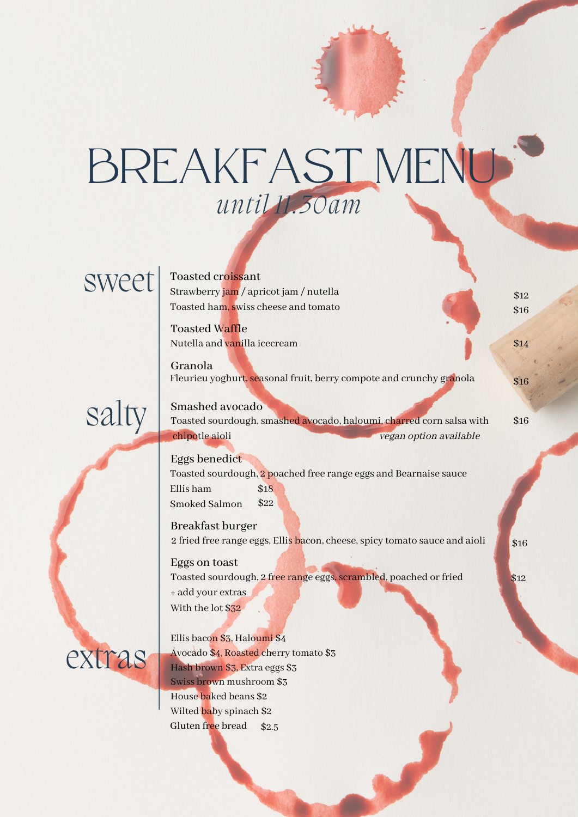## BREAKFAST MENU *until 11.30am*

### sweet

#### Toasted croissant

Strawberry jam / apricot jam / nutella Toasted ham, swiss cheese and tomato

Toasted Waffle Nutella and vanilla icecream  $$14$ 

Granola Fleurieu yoghurt, seasonal fruit, berry compote and crunchy granola

## salty

Toasted sourdough, smashed avocado, haloumi, charred corn salsa with chipotle aioli vegan option available \$16 Smashed avocado

\$12 \$16

\$16

\$16

\$12

#### Eggs benedict

Toasted sourdough, 2 poached free range eggs and Bearnaise sauce Ellis ham Smoked Salmon \$18 \$22

Breakfast burger 2 fried free range eggs, Ellis bacon, cheese, spicy tomato sauce and aioli

Eggs on toast Toasted sourdough, 2 free range eggs, scrambled, poached or fried + add your extras With the lot \$32

extras

Gluten free bread \$2.5 Ellis bacon \$3, Haloumi \$4 Avocado \$4, Roasted cherry tomato \$3 Hash brown \$3, Extra eggs \$3 Swiss brown mushroom \$3 House baked beans \$2 Wilted baby spinach \$2